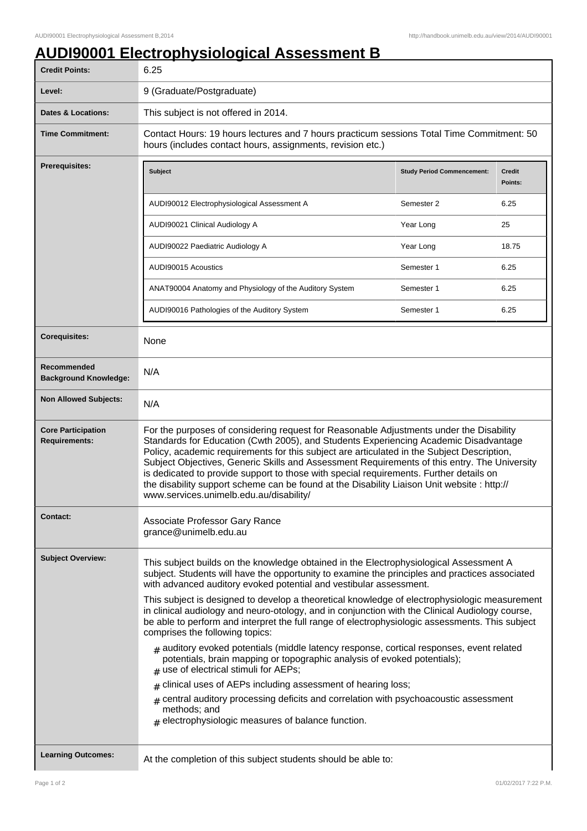## **AUDI90001 Electrophysiological Assessment B**

| <b>Credit Points:</b>                             | 6.25                                                                                                                                                                                                                                                                                                                                                                                                                                                                                                                                                                                                              |                                   |                          |
|---------------------------------------------------|-------------------------------------------------------------------------------------------------------------------------------------------------------------------------------------------------------------------------------------------------------------------------------------------------------------------------------------------------------------------------------------------------------------------------------------------------------------------------------------------------------------------------------------------------------------------------------------------------------------------|-----------------------------------|--------------------------|
| Level:                                            | 9 (Graduate/Postgraduate)                                                                                                                                                                                                                                                                                                                                                                                                                                                                                                                                                                                         |                                   |                          |
| <b>Dates &amp; Locations:</b>                     | This subject is not offered in 2014.                                                                                                                                                                                                                                                                                                                                                                                                                                                                                                                                                                              |                                   |                          |
| <b>Time Commitment:</b>                           | Contact Hours: 19 hours lectures and 7 hours practicum sessions Total Time Commitment: 50<br>hours (includes contact hours, assignments, revision etc.)                                                                                                                                                                                                                                                                                                                                                                                                                                                           |                                   |                          |
| Prerequisites:                                    | <b>Subject</b>                                                                                                                                                                                                                                                                                                                                                                                                                                                                                                                                                                                                    | <b>Study Period Commencement:</b> | <b>Credit</b><br>Points: |
|                                                   | AUDI90012 Electrophysiological Assessment A                                                                                                                                                                                                                                                                                                                                                                                                                                                                                                                                                                       | Semester 2                        | 6.25                     |
|                                                   | AUDI90021 Clinical Audiology A                                                                                                                                                                                                                                                                                                                                                                                                                                                                                                                                                                                    | Year Long                         | 25                       |
|                                                   | AUDI90022 Paediatric Audiology A                                                                                                                                                                                                                                                                                                                                                                                                                                                                                                                                                                                  | Year Long                         | 18.75                    |
|                                                   | AUDI90015 Acoustics                                                                                                                                                                                                                                                                                                                                                                                                                                                                                                                                                                                               | Semester 1                        | 6.25                     |
|                                                   | ANAT90004 Anatomy and Physiology of the Auditory System                                                                                                                                                                                                                                                                                                                                                                                                                                                                                                                                                           | Semester 1                        | 6.25                     |
|                                                   | AUDI90016 Pathologies of the Auditory System                                                                                                                                                                                                                                                                                                                                                                                                                                                                                                                                                                      | Semester 1                        | 6.25                     |
| <b>Corequisites:</b>                              | None                                                                                                                                                                                                                                                                                                                                                                                                                                                                                                                                                                                                              |                                   |                          |
| Recommended<br><b>Background Knowledge:</b>       | N/A                                                                                                                                                                                                                                                                                                                                                                                                                                                                                                                                                                                                               |                                   |                          |
| <b>Non Allowed Subjects:</b>                      | N/A                                                                                                                                                                                                                                                                                                                                                                                                                                                                                                                                                                                                               |                                   |                          |
| <b>Core Participation</b><br><b>Requirements:</b> | For the purposes of considering request for Reasonable Adjustments under the Disability<br>Standards for Education (Cwth 2005), and Students Experiencing Academic Disadvantage<br>Policy, academic requirements for this subject are articulated in the Subject Description,<br>Subject Objectives, Generic Skills and Assessment Requirements of this entry. The University<br>is dedicated to provide support to those with special requirements. Further details on<br>the disability support scheme can be found at the Disability Liaison Unit website : http://<br>www.services.unimelb.edu.au/disability/ |                                   |                          |
| <b>Contact:</b>                                   | Associate Professor Gary Rance<br>grance@unimelb.edu.au                                                                                                                                                                                                                                                                                                                                                                                                                                                                                                                                                           |                                   |                          |
| <b>Subject Overview:</b>                          | This subject builds on the knowledge obtained in the Electrophysiological Assessment A<br>subject. Students will have the opportunity to examine the principles and practices associated<br>with advanced auditory evoked potential and vestibular assessment.                                                                                                                                                                                                                                                                                                                                                    |                                   |                          |
|                                                   | This subject is designed to develop a theoretical knowledge of electrophysiologic measurement<br>in clinical audiology and neuro-otology, and in conjunction with the Clinical Audiology course,<br>be able to perform and interpret the full range of electrophysiologic assessments. This subject<br>comprises the following topics:                                                                                                                                                                                                                                                                            |                                   |                          |
|                                                   | $#$ auditory evoked potentials (middle latency response, cortical responses, event related<br>potentials, brain mapping or topographic analysis of evoked potentials);<br>$#$ use of electrical stimuli for AEPs;                                                                                                                                                                                                                                                                                                                                                                                                 |                                   |                          |
|                                                   | clinical uses of AEPs including assessment of hearing loss;<br>#                                                                                                                                                                                                                                                                                                                                                                                                                                                                                                                                                  |                                   |                          |
|                                                   | $_{\text{\#}}$ central auditory processing deficits and correlation with psychoacoustic assessment<br>methods; and<br>$#$ electrophysiologic measures of balance function.                                                                                                                                                                                                                                                                                                                                                                                                                                        |                                   |                          |
| <b>Learning Outcomes:</b>                         | At the completion of this subject students should be able to:                                                                                                                                                                                                                                                                                                                                                                                                                                                                                                                                                     |                                   |                          |